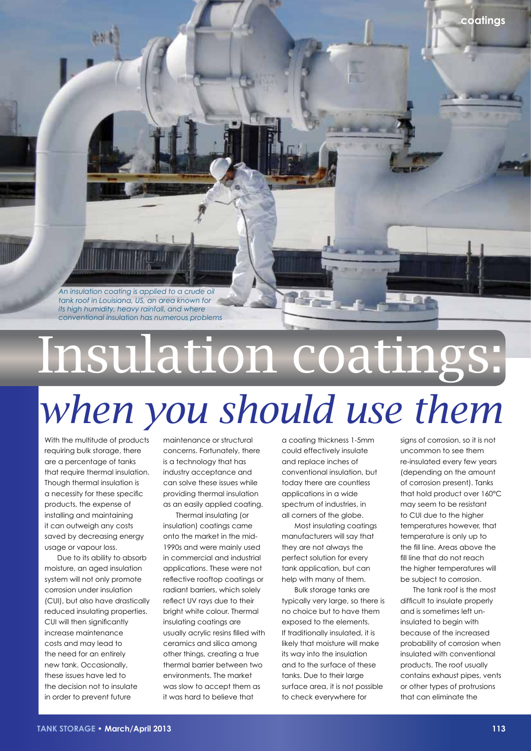*An insulation coating is applied to a crude oil tank roof in Louisiana, US, an area known for its high humidity, heavy rainfall, and where conventional insulation has numerous problems*

## Insulation coatings:

## *when you should use them*

With the multitude of products requiring bulk storage, there are a percentage of tanks that require thermal insulation. Though thermal insulation is a necessity for these specific products, the expense of installing and maintaining it can outweigh any costs saved by decreasing energy usage or vapour loss.

Due to its ability to absorb moisture, an aged insulation system will not only promote corrosion under insulation (CUI), but also have drastically reduced insulating properties. CUI will then significantly increase maintenance costs and may lead to the need for an entirely new tank. Occasionally, these issues have led to the decision not to insulate in order to prevent future

maintenance or structural concerns. Fortunately, there is a technology that has industry acceptance and can solve these issues while providing thermal insulation as an easily applied coating.

Thermal insulating (or insulation) coatings came onto the market in the mid-1990s and were mainly used in commercial and industrial applications. These were not reflective rooftop coatings or radiant barriers, which solely reflect UV rays due to their bright white colour. Thermal insulating coatings are usually acrylic resins filled with ceramics and silica among other things, creating a true thermal barrier between two environments. The market was slow to accept them as it was hard to believe that

a coating thickness 1-5mm could effectively insulate and replace inches of conventional insulation, but today there are countless applications in a wide spectrum of industries, in all corners of the globe.

Most insulating coatings manufacturers will say that they are not always the perfect solution for every tank application, but can help with many of them.

Bulk storage tanks are typically very large, so there is no choice but to have them exposed to the elements. If traditionally insulated, it is likely that moisture will make its way into the insulation and to the surface of these tanks. Due to their large surface area, it is not possible to check everywhere for

signs of corrosion, so it is not uncommon to see them re-insulated every few years (depending on the amount of corrosion present). Tanks that hold product over 160°C may seem to be resistant to CUI due to the higher temperatures however, that temperature is only up to the fill line. Areas above the fill line that do not reach the higher temperatures will be subject to corrosion.

**coatings**

The tank roof is the most difficult to insulate properly and is sometimes left uninsulated to begin with because of the increased probability of corrosion when insulated with conventional products. The roof usually contains exhaust pipes, vents or other types of protrusions that can eliminate the